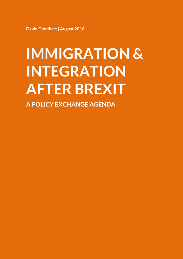**David Goodhart| August 2016**

# **IMMIGRATION & INTEGRATION AFTER BREXIT**

**A POLICY EXCHANGE AGENDA**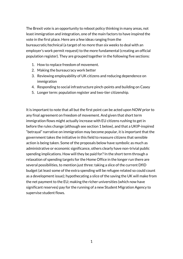The Brexit vote is an opportunity to reboot policy thinking in many areas, not least immigration and integration, one of the main factors to have inspired the vote in the first place. Here are a few ideas ranging from the bureaucratic/technical (a target of no more than six weeks to deal with an employer's work permit request) to the more fundamental (creating an official population register). They are grouped together in the following five sections:

- 1. How to replace freedom of movement.
- 2. Making the bureaucracy work better
- 3. Reviewing employability of UK citizens and reducing dependence on immigration
- 4. Responding to social infrastructure pinch-points and building on Casey
- 5. Longer term: population register and two-tier citizenship.

It is important to note that all but the first point can be acted upon NOW prior to any final agreement on freedom of movement. And given that short term immigration flows might actually increase with EU citizens rushing to get in before the rules change (although see section 1 below), and that a UKIP-inspired "betrayal" narrative on immigration may become popular, it is important that the government takes the initiative in this field to reassure citizens that sensible action is being taken. Some of the proposals below have symbolic as much as administrative or economic significance, others clearly have non-trivial public spending implications. How will they be paid for? In the short term through a relaxation of spending targets for the Home Office in the longer run there are several possibilities, to mention just three: taking a slice of the current DfID budget (at least some of the extra spending will be refugee related so could count as a development issue); hypothecating a slice of the saving the UK will make from the net payment to the EU; making the richer universities (which now have significant reserves) pay for the running of a new Student Migration Agency to supervise student flows.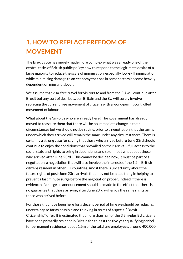## **1. HOW TO REPLACE FREEDOM OF MOVEMENT**

The Brexit vote has merely made more complex what was already one of the central tasks of British public policy: how to respond to the legitimate desire of a large majority to reduce the scale of immigration, especially low-skill immigration, while minimizing damage to an economy that has in some sectors become heavily dependent on migrant labour.

We assume that visa-free travel for visitors to and from the EU will continue after Brexit but any sort of deal between Britain and the EU will surely involve replacing the current free movement of citizens with a work-permit controlled movement of labour.

What about the 3m-plus who are already here? The government has already moved to reassure them that there will be no immediate change in their circumstances but we should not be saying, prior to a negotiation, that the terms under which they arrived will remain the same under any circumstances. There is certainly a strong case for saying that those who arrived before June 23rd should continue to enjoy the conditions that prevailed on their arrival—full access to the social state and rights to bring in dependents and so on—but what about those who arrived after June 23rd ? This cannot be decided now, it must be part of a negotiation, a negotiation that will also involve the interests of the 1.2m British citizens resident in other EU countries. And if there is uncertainty about the future rights of post-June 23rd arrivals that may not be a bad thing in helping to prevent a last minute surge before the negotiation proper. Indeed if there is evidence of a surge an announcement should be made to the effect that there is no guarantee that those arriving after June 23rd will enjoy the same rights as those who arrived before.

For those that have been here for a decent period of time we should be reducing uncertainty so far as possible and thinking in terms of a special "Brexit Citizenship" offer. It is estimated that more than half of the 3.3m-plus EU citizens have been primarily resident in Britain for at least the five year qualifying period for permanent residence (about 1.6m of the total are employees, around 400,000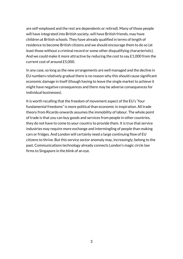are self-employed and the rest are dependents or retired). Many of those people will have integrated into British society, will have British friends, may have children at British schools. They have already qualified in terms of length of residence to become British citizens and we should encourage them to do so (at least those without a criminal record or some other disqualifying characteristic). And we could make it more attractive by reducing the cost to say £1,000 from the current cost of around £5,000.

In any case, so long as the new arrangements are well managed and the decline in EU numbers relatively gradual there is no reason why this should cause significant economic damage in itself (though having to leave the single market to achieve it might have negative consequences and there may be adverse consequences for individual businesses).

It is worth recalling that the freedom of movement aspect of the EU's "four fundamental freedoms" is more political than economic in inspiration. All trade theory from Ricardo onwards assumes the immobility of labour. The whole point of trade is that you can buy goods and services from people in other countries, they do not have to come to your country to provide them. It is true that service industries may require more exchange and intermingling of people than making cars or fridges. And London will certainly need a large continuing flow of EU citizens to thrive. But this service sector anomaly may, increasingly, belong to the past. Communications technology already connects London's magic circle law firms to Singapore in the blink of an eye.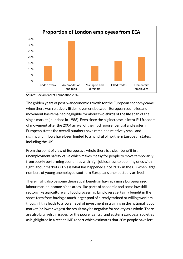

Source: Social Market Foundation 2016

The golden years of post-war economic growth for the European economy came when there was relatively little movement between European countries and movement has remained negligible for about two-thirds of the life span of the single market (launched in 1986). Even since the big increase in intra-EU freedom of movement after the 2004 arrival of the much poorer central and eastern European states the overall numbers have remained relatively small and significant inflows have been limited to a handful of northern European states, including the UK.

From the point of view of Europe as a whole there is a clear benefit in an unemployment safety valve which makes it easy for people to move temporarily from poorly performing economies with high joblessness to booming ones with tight labour markets. (This is what has happened since 2012 in the UK when large numbers of young unemployed southern Europeans unexpectedly arrived.)

There might also be some theoretical benefit in having a more Europeanised labour market in some niche areas, like parts of academia and some low skill sectors like agriculture and food processing. Employers certainly benefit in the short-term from having a much larger pool of already trained or willing workers though if this leads to a lower level of investment in training in the national labour market (or lower wages) the result may be negative for society as a whole. There are also brain-drain issues for the poorer central and eastern European societies as highlighted in a recent IMF report which estimates that 20m people have left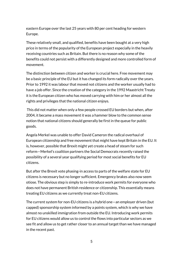eastern Europe over the last 25 years with 80 per cent heading for western Europe.

These relatively small, and qualified, benefits have been bought at a very high price in terms of the popularity of the European project especially in the heavily receiving countries such as Britain. But there is no reason why some of the benefits could not persist with a differently designed and more controlled form of movement.

The distinction between citizen and worker is crucial here. Free movement may be a basic principle of the EU but it has changed its form radically over the years. Prior to 1992 it was labour that moved not citizens and the worker usually had to have a job offer. Since the creation of the category in the 1992 Maastricht Treaty it is the European citizen who has moved carrying with him or her almost all the rights and privileges that the national citizen enjoys.

This did not matter when only a few people crossed EU borders but when, after 2004, it became a mass movement it was a hammer blow to the common sense notion that national citizens should generally be first in the queue for public goods.

Angela Merkel was unable to offer David Cameron the radical overhaul of European citizenship and free movement that might have kept Britain in the EU. It is, however, possible that Brexit might yet create a head of steam for such reform—Merkel's coalition partners the Social Democrats recently raised the possibility of a several year qualifying period for most social benefits for EU citizens.

But after the Brexit vote phasing-in access to parts of the welfare state for EU citizens is necessary but no longer sufficient. Emergency brakes also now seem otiose. The obvious step is simply to re-introduce work permits for everyone who does not have permanent British residence or citizenship. This essentially means treating EU citizens as we currently treat non-EU citizens.

The current system for non-EU citizens is a hybrid one—an employer driven (but capped) sponsorship system informed by a points system, which is why we have almost no unskilled immigration from outside the EU. Introducing work permits for EU citizens would allow us to control the flows into particular sectors as we see fit and allow us to get rather closer to an annual target than we have managed in the recent past.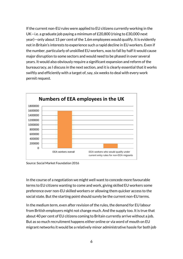If the current non-EU rules were applied to EU citizens currently working in the UK—i.e. a graduate job paying a minimum of £20,800 (rising to £30,000 next year)—only about 15 per cent of the 1.6m employees would qualify. It is evidently not in Britain's interests to experience such a rapid decline in EU workers. Even if the number, particularly of unskilled EU workers, was to fall by half it would cause major disruption to some sectors and would need to be phased in over several years. It would also obviously require a significant expansion and reform of the bureaucracy, as I discuss in the next section, and it is clearly essential that it works swiftly and efficiently with a target of, say, six weeks to deal with every work permit request.



Source: Social Market Foundation 2016

In the course of a negotiation we might well want to concede more favourable terms to EU citizens wanting to come and work, giving skilled EU workers some preference over non-EU skilled workers or allowing them quicker access to the social state. But the starting point should surely be the current non-EU terms.

In the medium term, even after revision of the rules, the demand for EU labour from British employers might not change much. And the supply too. It is true that about 40 per cent of EU citizens coming to Britain currently arrive without a job. But as so much recruitment happens either online or via word of mouth on EU migrant networks it would be a relatively minor administrative hassle for both job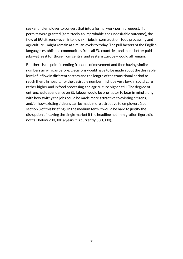seeker and employer to convert that into a formal work permit request. If all permits were granted (admittedly an improbable and undesirable outcome), the flow of EU citizens—even into low skill jobs in construction, food processing and agriculture—might remain at similar levels to today. The pull factors of the English language, established communities from all EU countries, and much better paid jobs—at least for those from central and eastern Europe—would all remain.

But there is no point in ending freedom of movement and then having similar numbers arriving as before. Decisions would have to be made about the desirable level of inflow in different sectors and the length of the transitional period to reach them. In hospitality the desirable number might be very low, in social care rather higher and in food processing and agriculture higher still. The degree of entrenched dependence on EU labour would be one factor to bear in mind along with how swiftly the jobs could be made more attractive to existing citizens, and/or how existing citizens can be made more attractive to employers (see section 3 of this briefing). In the medium term it would be hard to justify the disruption of leaving the single market if the headline net immigration figure did not fall below 200,000 a year (it is currently 330,000).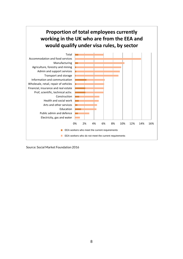

Source: Social Market Foundation 2016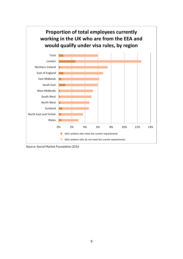

Source: Social Market Foundation 2016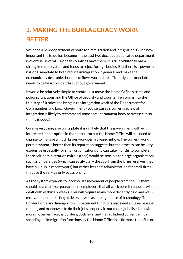# **2. MAKING THE BUREAUCRACY WORK BETTER**

We need a new department of state for immigration and integration. Given how important the issue has become in the past two decades a dedicated department is overdue, several European countries have them. It is true Whitehall has a strong immune system and tends to reject foreign bodies. But there is a powerful national mandate to both reduce immigration in general and make the economically desirable short-term flows work more efficiently, this mandate needs to be heard louder throughout government.

It would be relatively simple to create. Just move the Home Office's crime and policing functions and the Office of Security and Counter Terrorism into the Ministry of Justice and bring in the integration work of the Department for Communities and Local Government. (Louise Casey's current review of integration is likely to recommend some semi-permanent body to oversee it, so timing is good.)

Given everything else on its plate it is unlikely that the government will be interested in this option in the short term but the Home Office will still need to change to manage a much larger work permit based inflow. The current work permit system is better than its reputation suggests but the process can be very expensive especially for small organisations and can take months to complete. More self-administration (within a cap) would be sensible for large organisations such as universities (which can easily carry the cost from the large reserves they have built up in recent years) but rather less self-administration for small firms that use the service only occasionally.

As the system expands to incorporate movement of people from the EU there should be a cast-iron guarantee to employers that all work permit requests will be dealt with within six weeks. This will require many more decently paid and wellmotivated people sitting at desks as well as intelligent use of technology. The Border Force and Immigration Enforcement functions also need a big increase in funding and manpower to do their jobs properly in our more globalised era with more movement across borders, both legal and illegal. Indeed current annual spending on immigration functions by the Home Office is little more than 2bn or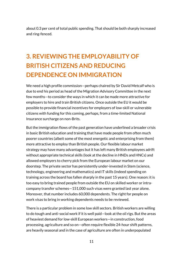about 0.3 per cent of total public spending. That should be both sharply increased and ring-fenced.

### **3. REVIEWING THE EMPLOYABILITY OF BRITISH CITIZENS AND REDUCING DEPENDENCE ON IMMIGRATION**

We need a high profile commission—perhaps chaired by Sir David Metcalf who is due to end his period as head of the Migration Advisory Committee in the next few months—to consider the ways in which it can be made more attractive for employers to hire and train British citizens. Once outside the EU it would be possible to provide financial incentives for employers of low-skill or vulnerable citizens with funding for this coming, perhaps, from a time-limited National Insurance surcharge on non-Brits.

But the immigration flows of the past generation have underlined a broader crisis in basic British education and training that have made people from often much poorer countries (albeit some of the most energetic and enterprising from them) more attractive to employ than British people. Our flexible labour market strategy may have many advantages but it has left many British employees adrift without appropriate technical skills (look at the decline in HNDs and HNCs) and allowed employers to cherry pick from the European labour market on our doorstep. The private sector has persistently under-invested in Stem (science, technology, engineering and mathematics) and IT skills (indeed spending on training across the board has fallen sharply in the past 15 years). One reason: it is too easy to bring trained people from outside the EU on skilled worker or intracompany transfer schemes—151,000 such visas were granted last year alone. Moreover, that number includes 60,000 dependents. The right for people on work visas to bring in working dependents needs to be reviewed.

There is a particular problem in some low skill sectors. British workers are willing to do tough and anti-social work if it is well paid—look at the oil rigs. But the areas of heaviest demand for low-skill European workers—in construction, food processing, agriculture and so on—often require flexible 24-hour shift patterns, are heavily seasonal and in the case of agriculture are often in underpopulated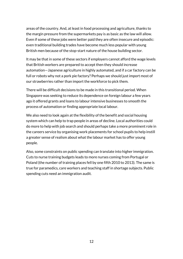areas of the country. And, at least in food processing and agriculture, thanks to the margin pressure from the supermarkets pay is as basic as the law will allow. Even if some of these jobs were better paid they are often insecure and episodic: even traditional building trades have become much less popular with young British men because of the stop-start nature of the house building sector.

It may be that in some of these sectors if employers cannot afford the wage levels that British workers are prepared to accept then they should increase automation—Japanese agriculture in highly automated, and if a car factory can be full or robots why not a pork pie factory? Perhaps we should just import most of our strawberries rather than import the workforce to pick them.

There will be difficult decisions to be made in this transitional period. When Singapore was seeking to reduce its dependence on foreign labour a few years ago it offered grants and loans to labour intensive businesses to smooth the process of automation or finding appropriate local labour.

We also need to look again at the flexibility of the benefit and social housing system which can help to trap people in areas of decline. Local authorities could do more to help with job search and should perhaps take a more prominent role in the careers service by organising work placements for school pupils to help instill a greater sense of realism about what the labour market has to offer young people.

Also, some constraints on public spending can translate into higher immigration. Cuts to nurse training budgets leads to more nurses coming from Portugal or Poland (the number of training places fell by one fifth 2010 to 2013). The same is true for paramedics, care workers and teaching staff in shortage subjects. Public spending cuts need an immigration audit.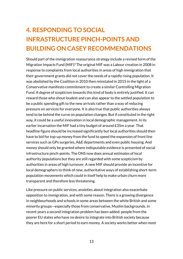# **4. RESPONDING TO SOCIAL INFRASTRUCTURE PINCH-POINTS AND BUILDING ON CASEY RECOMMENDATIONS**

Should part of the immigration reassurance strategy include a revised form of the Migration Impacts Fund (MIF)? The original MIF was a Labour creation in 2008 in response to complaints from local authorities in areas of high immigration that their government grants did not cover the needs of a rapidly rising population. It was abolished by the Coalition in 2010 then reinstated in 2015 in the light of a Conservative manifesto commitment to create a similar Controlling Migration Fund. A degree of scepticism towards this kind of body is entirely justified. It can reward those who shout loudest and can also appear to the settled population to be a public spending gift to the new arrivals rather than a way of reducing pressure on services for everyone. It is also true that public authorities always tend to be behind the curve on population changes. But if constituted in the right way, it could be a useful innovation in local demographic management. In its earlier incarnation the MIF had a tiny budget of around £35m a year. That headline figure should be increased significantly but local authorities should then have to bid for top-up money from the fund to speed the expansion of front line services such as GPs surgeries, A&E departments and even public housing. And money should only be granted where indisputable evidence is presented of social infrastructure pinch-points. The ONS now does annual estimates of local authority populations but they are still regarded with some scepticism by authorities in areas of high turnover. A new MIF should provide an incentive for local demographers to think of new, authoritative ways of establishing short-term population movements which could in itself help to make urban churn more transparent and therefore less threatening.

Like pressure on public services, anxieties about integration also exacerbate opposition to immigration, and with some reason. There is a growing divergence in neighbourhoods and schools in some areas between the white British and some minority groups—especially those from conservative, Muslim backgrounds. In recent years a second integration problem has been added: people from the poorer EU states who have no desire to integrate into British society because they are here for a short period to earn money. A society works better when most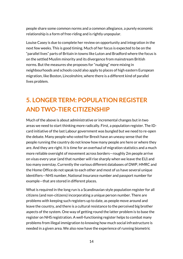people share some common norms and a common allegiance, a purely economic relationship is a form of free-riding and is rightly unpopular.

Louise Casey is due to complete her review on opportunity and integration in the next few weeks. This is good timing. Much of her focus is expected to be on the "parallel lives" parts of Britain in towns like Luton and Bradford where the focus is on the settled Muslim minority and its divergence from mainstream British norms. But the measures she proposes for "nudging" more mixing in neighbourhoods and schools could also apply to places of high eastern European migration, like Boston, Lincolnshire, where there is a different kind of parallel lives problem.

#### **5. LONGER TERM: POPULATION REGISTER AND TWO-TIER CITIZENSHIP**

Much of the above is about administrative or incremental changes but in two areas we need to start thinking more radically. First, a population register. The IDcard initiative of the last Labour government was bungled but we need to re-open the debate. Many people who voted for Brexit have an uneasy sense that the people running the country do not know how many people are here or where they are. And they are right. It is time for an overhaul of migration statistics and a much more reliable oversight of movement across borders—roughly 2m people arrive on visas every year (and that number will rise sharply when we leave the EU) and too many overstay. Currently the various different databases of DWP, HMRC and the Home Office do not speak to each other and most of us have several unique identifiers—NHS number, National Insurance number and passport number for example—that are stored in different places.

What is required in the long run is a Scandinavian style population register for all citizens (and non-citizens) incorporating a unique person number. There are problems with keeping such registers up to date, as people move around and leave the country, and there is a cultural resistance to the perceived big brother aspects of the system. One way of getting round the latter problem is to base the register on NHS registration. A well-functioning register helps to combat many problems from illegal immigration to knowing how much social infrastructure is needed in a given area. We also now have the experience of running biometric